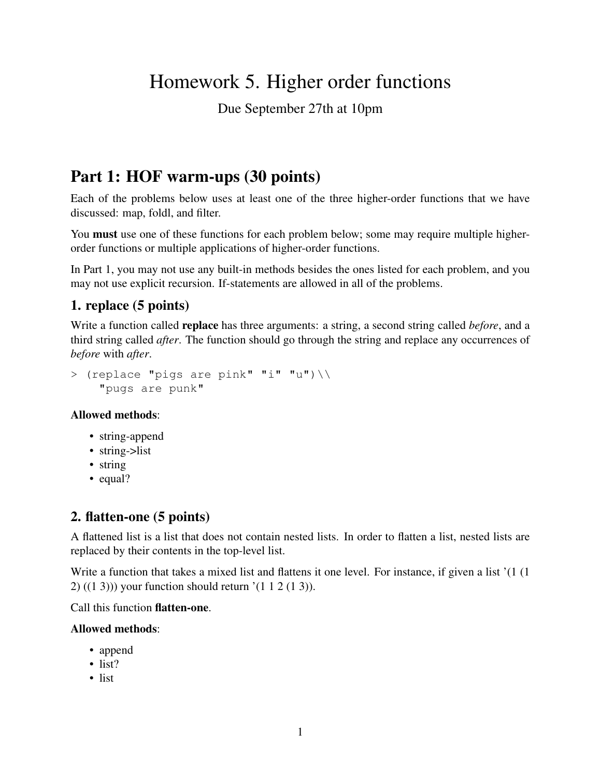# Homework 5. Higher order functions

Due September 27th at 10pm

## Part 1: HOF warm-ups (30 points)

Each of the problems below uses at least one of the three higher-order functions that we have discussed: map, foldl, and filter.

You **must** use one of these functions for each problem below; some may require multiple higherorder functions or multiple applications of higher-order functions.

In Part 1, you may not use any built-in methods besides the ones listed for each problem, and you may not use explicit recursion. If-statements are allowed in all of the problems.

## 1. replace (5 points)

Write a function called replace has three arguments: a string, a second string called *before*, and a third string called *after*. The function should go through the string and replace any occurrences of *before* with *after*.

```
> (replace "pigs are pink" "i" "u")\\
    "pugs are punk"
```
#### Allowed methods:

- string-append
- string->list
- string
- equal?

## 2. flatten-one (5 points)

A flattened list is a list that does not contain nested lists. In order to flatten a list, nested lists are replaced by their contents in the top-level list.

Write a function that takes a mixed list and flattens it one level. For instance, if given a list '(1 (1 2) ((1 3))) your function should return '(1 1 2 (1 3)).

Call this function flatten-one.

#### Allowed methods:

- append
- list?
- list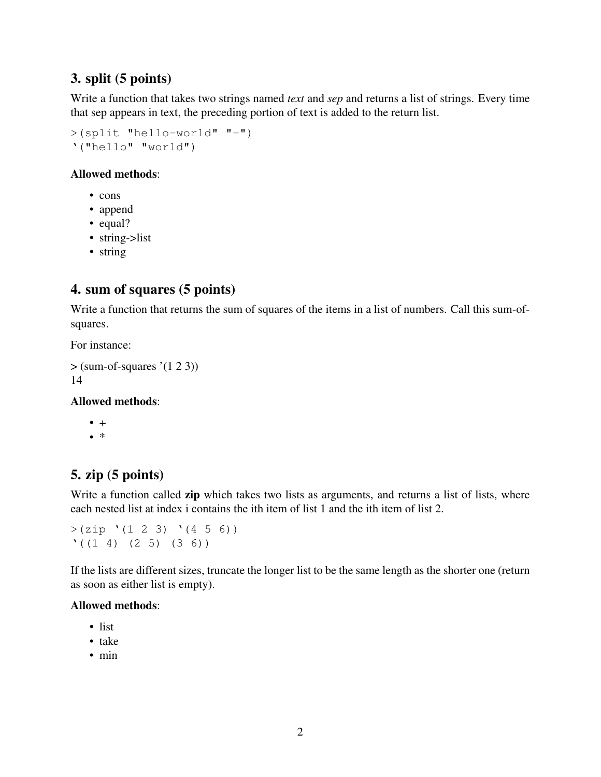## 3. split (5 points)

Write a function that takes two strings named *text* and *sep* and returns a list of strings. Every time that sep appears in text, the preceding portion of text is added to the return list.

>(split "hello-world" "-") '("hello" "world")

#### Allowed methods:

- cons
- append
- equal?
- string->list
- string

## 4. sum of squares (5 points)

Write a function that returns the sum of squares of the items in a list of numbers. Call this sum-ofsquares.

For instance:

```
> (sum-of-squares '(1 2 3))
14
```
#### Allowed methods:

 $• +$ 

• \*

### 5. zip (5 points)

Write a function called zip which takes two lists as arguments, and returns a list of lists, where each nested list at index i contains the ith item of list 1 and the ith item of list 2.

 $>(zip ' (1 2 3) '(4 5 6))$  $'(1 4) (2 5) (3 6)$ 

If the lists are different sizes, truncate the longer list to be the same length as the shorter one (return as soon as either list is empty).

#### Allowed methods:

- list
- take
- min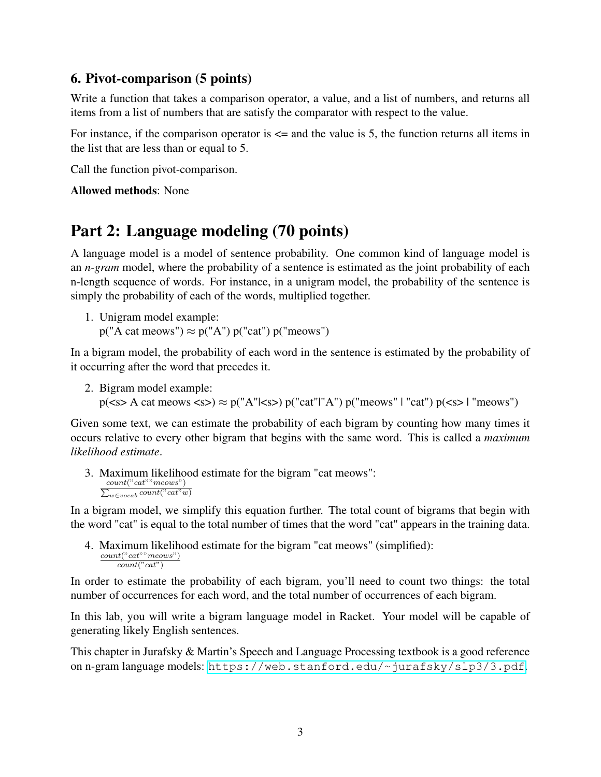#### 6. Pivot-comparison (5 points)

Write a function that takes a comparison operator, a value, and a list of numbers, and returns all items from a list of numbers that are satisfy the comparator with respect to the value.

For instance, if the comparison operator is  $\leq$  and the value is 5, the function returns all items in the list that are less than or equal to 5.

Call the function pivot-comparison.

Allowed methods: None

## Part 2: Language modeling (70 points)

A language model is a model of sentence probability. One common kind of language model is an *n-gram* model, where the probability of a sentence is estimated as the joint probability of each n-length sequence of words. For instance, in a unigram model, the probability of the sentence is simply the probability of each of the words, multiplied together.

1. Unigram model example:  $p("A cat mewss") \approx p("A") p("cat") p("meows")$ 

In a bigram model, the probability of each word in the sentence is estimated by the probability of it occurring after the word that precedes it.

2. Bigram model example:

```
p(\text{ss} > A \text{ cat} \text{meows } \text{ss}) \approx p("A"|\text{ss}) p("cat" | "A") p("meows" | "cat") p(\text{ss} > | "meows")
```
Given some text, we can estimate the probability of each bigram by counting how many times it occurs relative to every other bigram that begins with the same word. This is called a *maximum likelihood estimate*.

3. Maximum likelihood estimate for the bigram "cat meows":  $\sum_{w\in vocab} count("cat"w)$  $count("cat""meows")$ 

In a bigram model, we simplify this equation further. The total count of bigrams that begin with the word "cat" is equal to the total number of times that the word "cat" appears in the training data.

4. Maximum likelihood estimate for the bigram "cat meows" (simplified):  $count("cat""meows")$  $count("cat")$ 

In order to estimate the probability of each bigram, you'll need to count two things: the total number of occurrences for each word, and the total number of occurrences of each bigram.

In this lab, you will write a bigram language model in Racket. Your model will be capable of generating likely English sentences.

This chapter in Jurafsky & Martin's Speech and Language Processing textbook is a good reference on n-gram language models: <https://web.stanford.edu/~jurafsky/slp3/3.pdf>.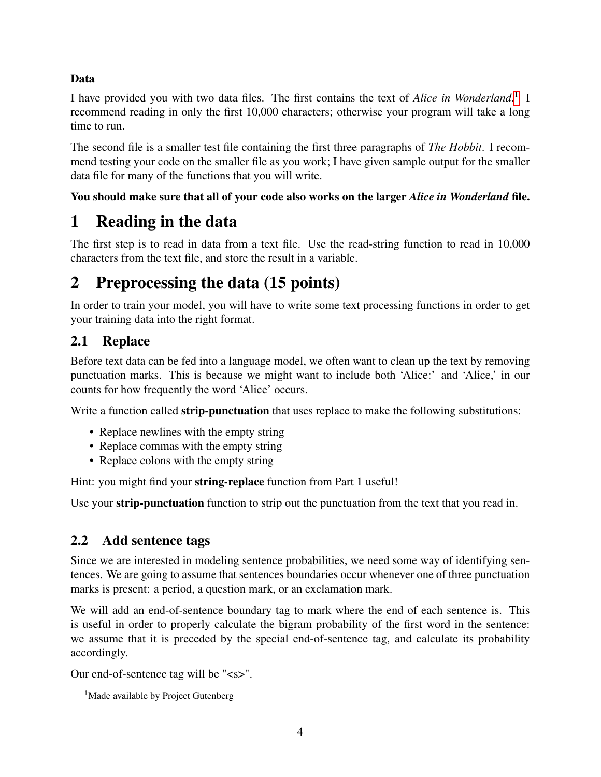#### Data

I have provided you with two data files. The first contains the text of *Alice in Wonderland*. [1](#page-3-0) I recommend reading in only the first 10,000 characters; otherwise your program will take a long time to run.

The second file is a smaller test file containing the first three paragraphs of *The Hobbit*. I recommend testing your code on the smaller file as you work; I have given sample output for the smaller data file for many of the functions that you will write.

#### You should make sure that all of your code also works on the larger *Alice in Wonderland* file.

# 1 Reading in the data

The first step is to read in data from a text file. Use the read-string function to read in 10,000 characters from the text file, and store the result in a variable.

# 2 Preprocessing the data (15 points)

In order to train your model, you will have to write some text processing functions in order to get your training data into the right format.

## <span id="page-3-1"></span>2.1 Replace

Before text data can be fed into a language model, we often want to clean up the text by removing punctuation marks. This is because we might want to include both 'Alice:' and 'Alice,' in our counts for how frequently the word 'Alice' occurs.

Write a function called **strip-punctuation** that uses replace to make the following substitutions:

- Replace newlines with the empty string
- Replace commas with the empty string
- Replace colons with the empty string

Hint: you might find your **string-replace** function from Part 1 useful!

Use your strip-punctuation function to strip out the punctuation from the text that you read in.

## 2.2 Add sentence tags

Since we are interested in modeling sentence probabilities, we need some way of identifying sentences. We are going to assume that sentences boundaries occur whenever one of three punctuation marks is present: a period, a question mark, or an exclamation mark.

We will add an end-of-sentence boundary tag to mark where the end of each sentence is. This is useful in order to properly calculate the bigram probability of the first word in the sentence: we assume that it is preceded by the special end-of-sentence tag, and calculate its probability accordingly.

Our end-of-sentence tag will be "<s>".

<span id="page-3-0"></span><sup>&</sup>lt;sup>1</sup>Made available by Project Gutenberg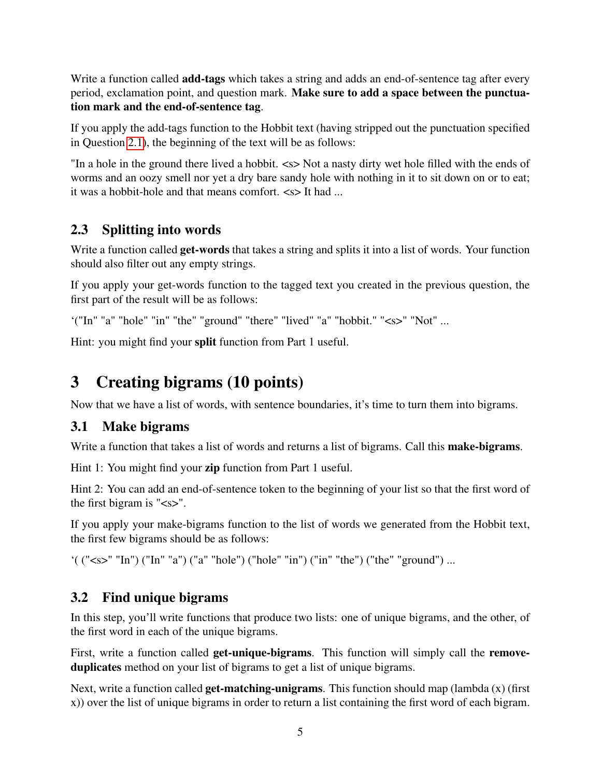Write a function called **add-tags** which takes a string and adds an end-of-sentence tag after every period, exclamation point, and question mark. Make sure to add a space between the punctuation mark and the end-of-sentence tag.

If you apply the add-tags function to the Hobbit text (having stripped out the punctuation specified in Question [2.1\)](#page-3-1), the beginning of the text will be as follows:

"In a hole in the ground there lived a hobbit. <s> Not a nasty dirty wet hole filled with the ends of worms and an oozy smell nor yet a dry bare sandy hole with nothing in it to sit down on or to eat; it was a hobbit-hole and that means comfort.  $\langle s \rangle$  It had ...

## 2.3 Splitting into words

Write a function called **get-words** that takes a string and splits it into a list of words. Your function should also filter out any empty strings.

If you apply your get-words function to the tagged text you created in the previous question, the first part of the result will be as follows:

'("In" "a" "hole" "in" "the" "ground" "there" "lived" "a" "hobbit." "<s>" "Not" ...

Hint: you might find your split function from Part 1 useful.

## 3 Creating bigrams (10 points)

Now that we have a list of words, with sentence boundaries, it's time to turn them into bigrams.

## 3.1 Make bigrams

Write a function that takes a list of words and returns a list of bigrams. Call this **make-bigrams**.

Hint 1: You might find your zip function from Part 1 useful.

Hint 2: You can add an end-of-sentence token to the beginning of your list so that the first word of the first bigram is " $\langle s \rangle$ ".

If you apply your make-bigrams function to the list of words we generated from the Hobbit text, the first few bigrams should be as follows:

'( ("<s>" "In") ("In" "a") ("a" "hole") ("hole" "in") ("in" "the") ("the" "ground") ...

## 3.2 Find unique bigrams

In this step, you'll write functions that produce two lists: one of unique bigrams, and the other, of the first word in each of the unique bigrams.

First, write a function called **get-unique-bigrams**. This function will simply call the **remove**duplicates method on your list of bigrams to get a list of unique bigrams.

Next, write a function called **get-matching-unigrams**. This function should map (lambda  $(x)$ ) (first x)) over the list of unique bigrams in order to return a list containing the first word of each bigram.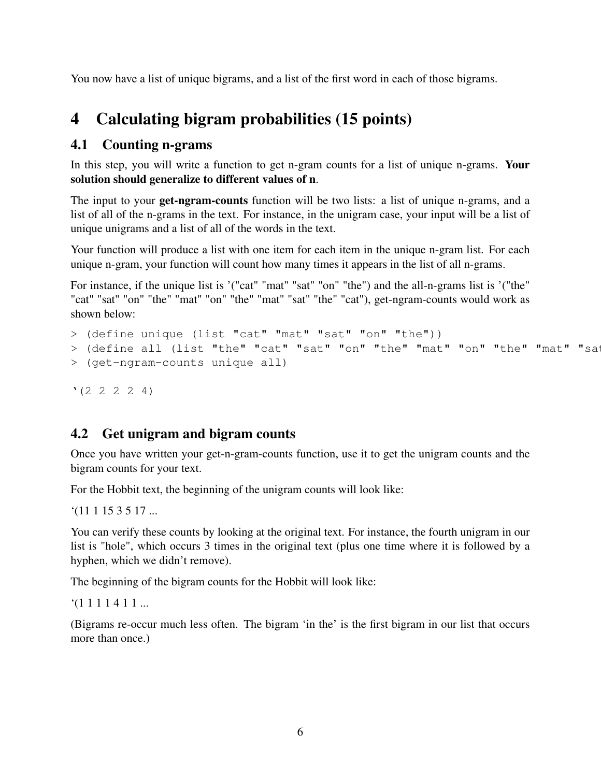You now have a list of unique bigrams, and a list of the first word in each of those bigrams.

## 4 Calculating bigram probabilities (15 points)

## 4.1 Counting n-grams

In this step, you will write a function to get n-gram counts for a list of unique n-grams. Your solution should generalize to different values of n.

The input to your **get-ngram-counts** function will be two lists: a list of unique n-grams, and a list of all of the n-grams in the text. For instance, in the unigram case, your input will be a list of unique unigrams and a list of all of the words in the text.

Your function will produce a list with one item for each item in the unique n-gram list. For each unique n-gram, your function will count how many times it appears in the list of all n-grams.

For instance, if the unique list is '("cat" "mat" "sat" "on" "the") and the all-n-grams list is '("the" "cat" "sat" "on" "the" "mat" "on" "the" "mat" "sat" "the" "cat"), get-ngram-counts would work as shown below:

```
> (define unique (list "cat" "mat" "sat" "on" "the"))
> (define all (list "the" "cat" "sat" "on" "the" "mat" "on" "the" "mat" "sat
> (get-ngram-counts unique all)
```
 $'$ (2 2 2 2 4)

### 4.2 Get unigram and bigram counts

Once you have written your get-n-gram-counts function, use it to get the unigram counts and the bigram counts for your text.

For the Hobbit text, the beginning of the unigram counts will look like:

 $(1111153517...$ 

You can verify these counts by looking at the original text. For instance, the fourth unigram in our list is "hole", which occurs 3 times in the original text (plus one time where it is followed by a hyphen, which we didn't remove).

The beginning of the bigram counts for the Hobbit will look like:

 $(1 1 1 1 4 1 1 ...$ 

(Bigrams re-occur much less often. The bigram 'in the' is the first bigram in our list that occurs more than once.)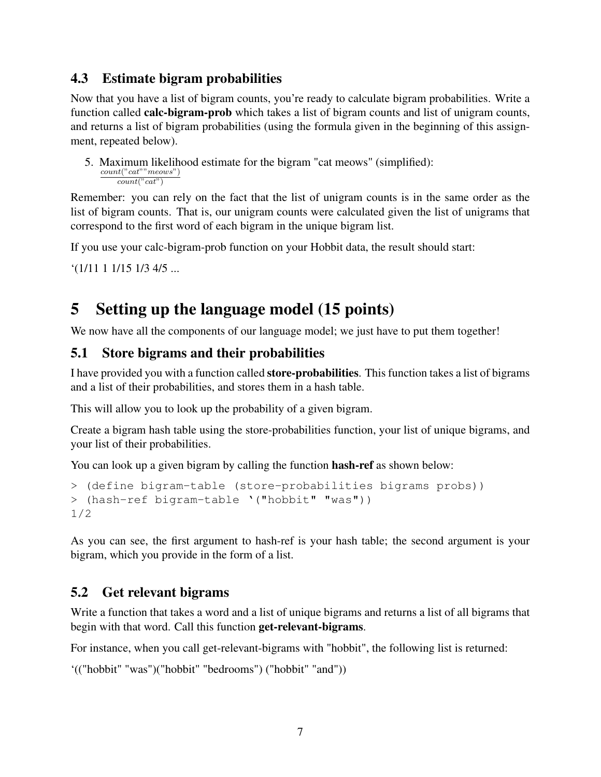### 4.3 Estimate bigram probabilities

Now that you have a list of bigram counts, you're ready to calculate bigram probabilities. Write a function called calc-bigram-prob which takes a list of bigram counts and list of unigram counts, and returns a list of bigram probabilities (using the formula given in the beginning of this assignment, repeated below).

5. Maximum likelihood estimate for the bigram "cat meows" (simplified):  $count("cat""meows")$  $count("cat")$ 

Remember: you can rely on the fact that the list of unigram counts is in the same order as the list of bigram counts. That is, our unigram counts were calculated given the list of unigrams that correspond to the first word of each bigram in the unique bigram list.

If you use your calc-bigram-prob function on your Hobbit data, the result should start:

```
'(1/11 1 1/15 1/3 4/5 ...
```
## 5 Setting up the language model (15 points)

We now have all the components of our language model; we just have to put them together!

### 5.1 Store bigrams and their probabilities

I have provided you with a function called store-probabilities. This function takes a list of bigrams and a list of their probabilities, and stores them in a hash table.

This will allow you to look up the probability of a given bigram.

Create a bigram hash table using the store-probabilities function, your list of unique bigrams, and your list of their probabilities.

You can look up a given bigram by calling the function **hash-ref** as shown below:

```
> (define bigram-table (store-probabilities bigrams probs))
> (hash-ref bigram-table '("hobbit" "was"))
1/2
```
As you can see, the first argument to hash-ref is your hash table; the second argument is your bigram, which you provide in the form of a list.

## 5.2 Get relevant bigrams

Write a function that takes a word and a list of unique bigrams and returns a list of all bigrams that begin with that word. Call this function get-relevant-bigrams.

For instance, when you call get-relevant-bigrams with "hobbit", the following list is returned:

```
'(("hobbit" "was")("hobbit" "bedrooms") ("hobbit" "and"))
```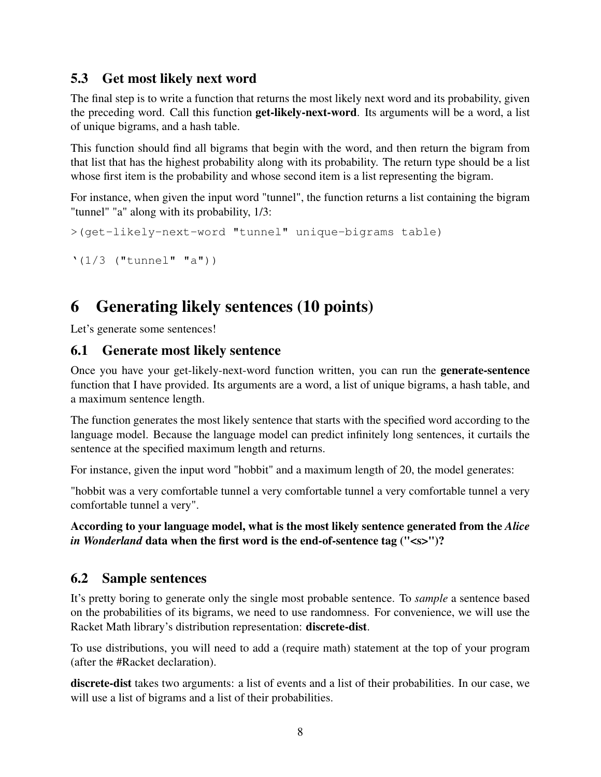## 5.3 Get most likely next word

The final step is to write a function that returns the most likely next word and its probability, given the preceding word. Call this function get-likely-next-word. Its arguments will be a word, a list of unique bigrams, and a hash table.

This function should find all bigrams that begin with the word, and then return the bigram from that list that has the highest probability along with its probability. The return type should be a list whose first item is the probability and whose second item is a list representing the bigram.

For instance, when given the input word "tunnel", the function returns a list containing the bigram "tunnel" "a" along with its probability, 1/3:

```
>(get-likely-next-word "tunnel" unique-bigrams table)
```

```
'(1/3 ("tunnel" "a"))
```
# 6 Generating likely sentences (10 points)

Let's generate some sentences!

#### 6.1 Generate most likely sentence

Once you have your get-likely-next-word function written, you can run the generate-sentence function that I have provided. Its arguments are a word, a list of unique bigrams, a hash table, and a maximum sentence length.

The function generates the most likely sentence that starts with the specified word according to the language model. Because the language model can predict infinitely long sentences, it curtails the sentence at the specified maximum length and returns.

For instance, given the input word "hobbit" and a maximum length of 20, the model generates:

"hobbit was a very comfortable tunnel a very comfortable tunnel a very comfortable tunnel a very comfortable tunnel a very".

According to your language model, what is the most likely sentence generated from the *Alice in Wonderland* data when the first word is the end-of-sentence tag ("<s>")?

### 6.2 Sample sentences

It's pretty boring to generate only the single most probable sentence. To *sample* a sentence based on the probabilities of its bigrams, we need to use randomness. For convenience, we will use the Racket Math library's distribution representation: discrete-dist.

To use distributions, you will need to add a (require math) statement at the top of your program (after the #Racket declaration).

discrete-dist takes two arguments: a list of events and a list of their probabilities. In our case, we will use a list of bigrams and a list of their probabilities.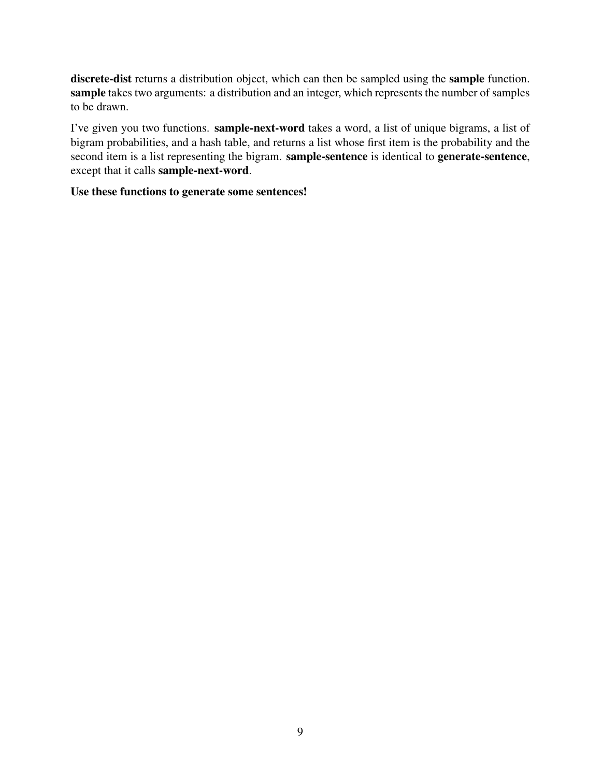discrete-dist returns a distribution object, which can then be sampled using the sample function. sample takes two arguments: a distribution and an integer, which represents the number of samples to be drawn.

I've given you two functions. sample-next-word takes a word, a list of unique bigrams, a list of bigram probabilities, and a hash table, and returns a list whose first item is the probability and the second item is a list representing the bigram. sample-sentence is identical to generate-sentence, except that it calls sample-next-word.

Use these functions to generate some sentences!